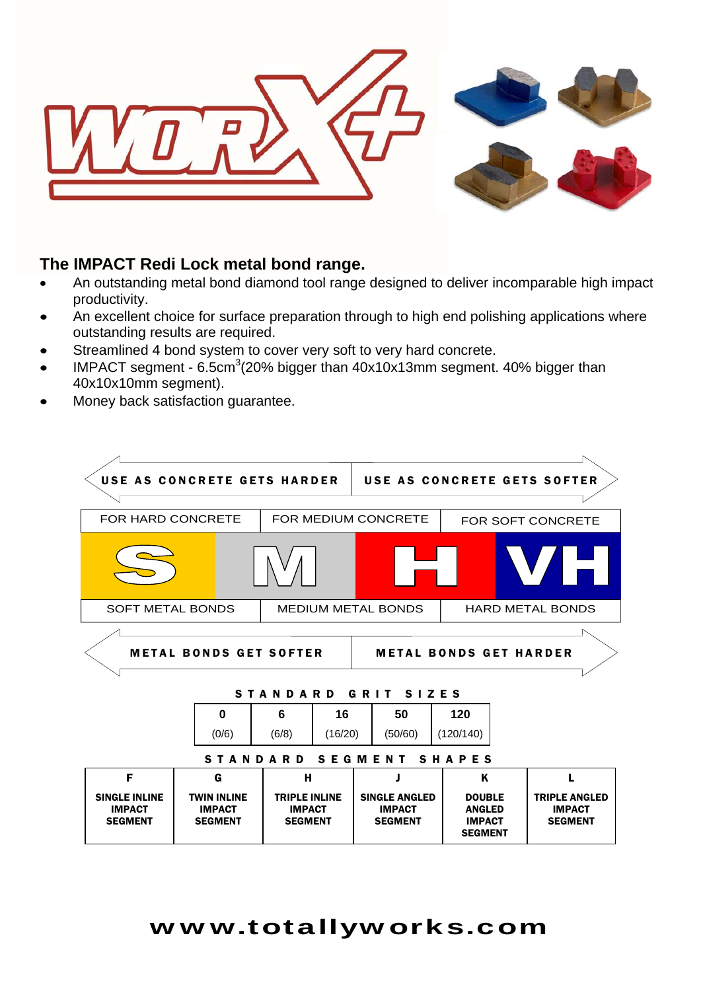

#### **The IMPACT Redi Lock metal bond range.**

- An outstanding metal bond diamond tool range designed to deliver incomparable high impact productivity.
- An excellent choice for surface preparation through to high end polishing applications where outstanding results are required.
- Streamlined 4 bond system to cover very soft to very hard concrete.
- IMPACT segment 6.5cm<sup>3</sup>(20% bigger than  $40x10x13$ mm segment.  $40\%$  bigger than 40x10x10mm segment).
- Money back satisfaction guarantee.

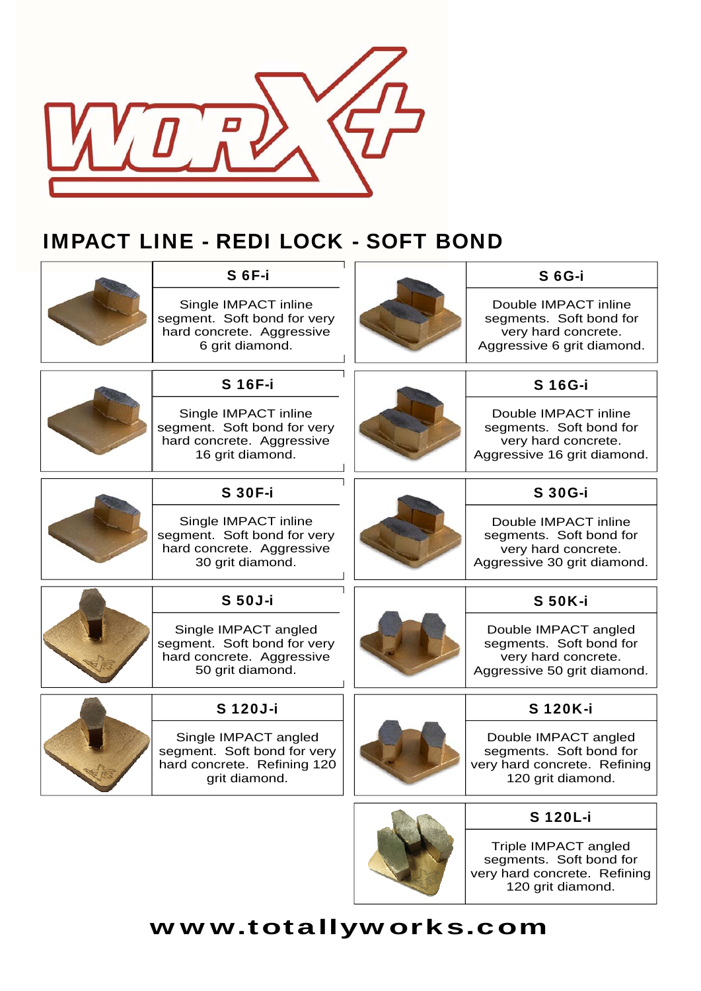

## IMPACT LINE - REDI LOCK - SOFT BOND



### www.totallyworks.com

120 grit diamond.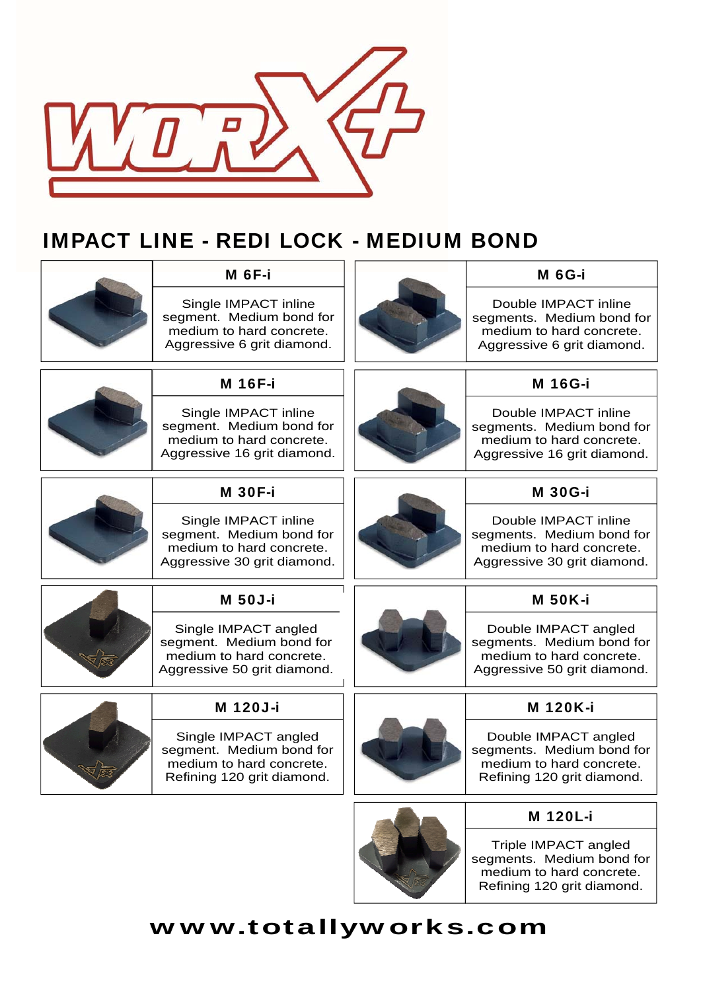

### IMPACT LINE - REDI LOCK - MEDIUM BOND

| <b>M</b> 6F-i                                                                                               | <b>M 6G-i</b>                                                                                                |
|-------------------------------------------------------------------------------------------------------------|--------------------------------------------------------------------------------------------------------------|
| Single IMPACT inline<br>segment. Medium bond for<br>medium to hard concrete.<br>Aggressive 6 grit diamond.  | Double IMPACT inline<br>segments. Medium bond for<br>medium to hard concrete.<br>Aggressive 6 grit diamond.  |
| <b>M 16F-i</b>                                                                                              | <b>M 16G-i</b>                                                                                               |
| Single IMPACT inline<br>segment. Medium bond for<br>medium to hard concrete.<br>Aggressive 16 grit diamond. | Double IMPACT inline<br>segments. Medium bond for<br>medium to hard concrete.<br>Aggressive 16 grit diamond. |
| <b>M 30F-i</b>                                                                                              | <b>M 30G-i</b>                                                                                               |
| Single IMPACT inline<br>segment. Medium bond for<br>medium to hard concrete.<br>Aggressive 30 grit diamond. | Double IMPACT inline<br>segments. Medium bond for<br>medium to hard concrete.<br>Aggressive 30 grit diamond. |
| <b>M 50J-i</b>                                                                                              | <b>M 50K-i</b>                                                                                               |
| Single IMPACT angled<br>segment. Medium bond for<br>medium to hard concrete.<br>Aggressive 50 grit diamond. | Double IMPACT angled<br>segments. Medium bond for<br>medium to hard concrete.<br>Aggressive 50 grit diamond. |
| M 120J-i                                                                                                    | M 120K-i                                                                                                     |
| Single IMPACT angled<br>segment. Medium bond for<br>medium to hard concrete.<br>Refining 120 grit diamond.  | Double IMPACT angled<br>segments. Medium bond for<br>medium to hard concrete.<br>Refining 120 grit diamond.  |
|                                                                                                             | M 120L-i                                                                                                     |
|                                                                                                             | Triple IMPACT angled<br>segments. Medium bond for<br>medium to hard concrete.                                |

# www.totallyworks.com

Refining 120 grit diamond.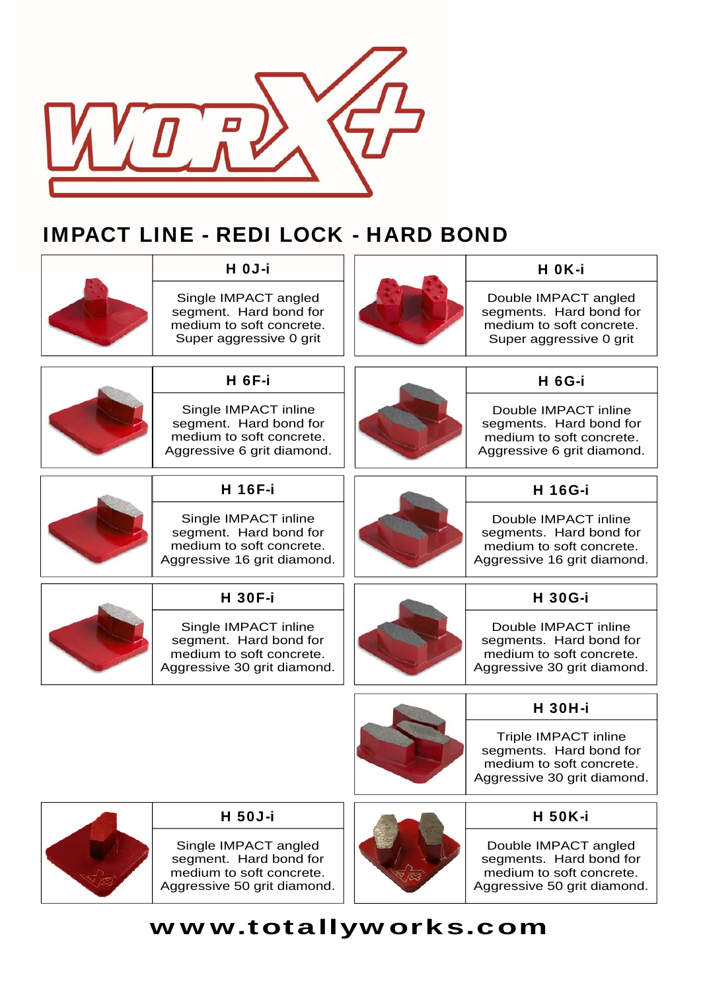

# IMPACT LINE - REDI LOCK - HARD BOND

| H OJ-i                                                                                                    | H OK-i                                                                                                            |
|-----------------------------------------------------------------------------------------------------------|-------------------------------------------------------------------------------------------------------------------|
| Single IMPACT angled<br>segment. Hard bond for<br>medium to soft concrete.<br>Super aggressive 0 grit     | Double IMPACT angled<br>segments. Hard bond for<br>medium to soft concrete.<br>Super aggressive 0 grit            |
| <b>H</b> 6F-i                                                                                             | <b>H</b> 6G-i                                                                                                     |
| Single IMPACT inline<br>segment. Hard bond for<br>medium to soft concrete.<br>Aggressive 6 grit diamond.  | Double IMPACT inline<br>segments. Hard bond for<br>medium to soft concrete.<br>Aggressive 6 grit diamond.         |
| <b>H</b> 16F-i                                                                                            | <b>H</b> 16G-i                                                                                                    |
| Single IMPACT inline<br>segment. Hard bond for<br>medium to soft concrete.<br>Aggressive 16 grit diamond. | Double IMPACT inline<br>segments. Hard bond for<br>medium to soft concrete.<br>Aggressive 16 grit diamond.        |
| <b>H</b> 30F-i                                                                                            | <b>H</b> 30G-i                                                                                                    |
| Single IMPACT inline<br>segment. Hard bond for<br>medium to soft concrete.<br>Aggressive 30 grit diamond. | Double IMPACT inline<br>segments. Hard bond for<br>medium to soft concrete.<br>Aggressive 30 grit diamond.        |
|                                                                                                           | <b>H</b> 30H-i                                                                                                    |
|                                                                                                           | <b>Triple IMPACT inline</b><br>segments. Hard bond for<br>medium to soft concrete.<br>Aggressive 30 grit diamond. |
| <b>H</b> 50J-i                                                                                            | <b>H</b> 50K-i                                                                                                    |
| Single IMPACT angled<br>segment. Hard bond for<br>medium to soft concrete.<br>Aggressive 50 grit diamond. | Double IMPACT angled<br>segments. Hard bond for<br>medium to soft concrete.<br>Aggressive 50 grit diamond.        |
|                                                                                                           |                                                                                                                   |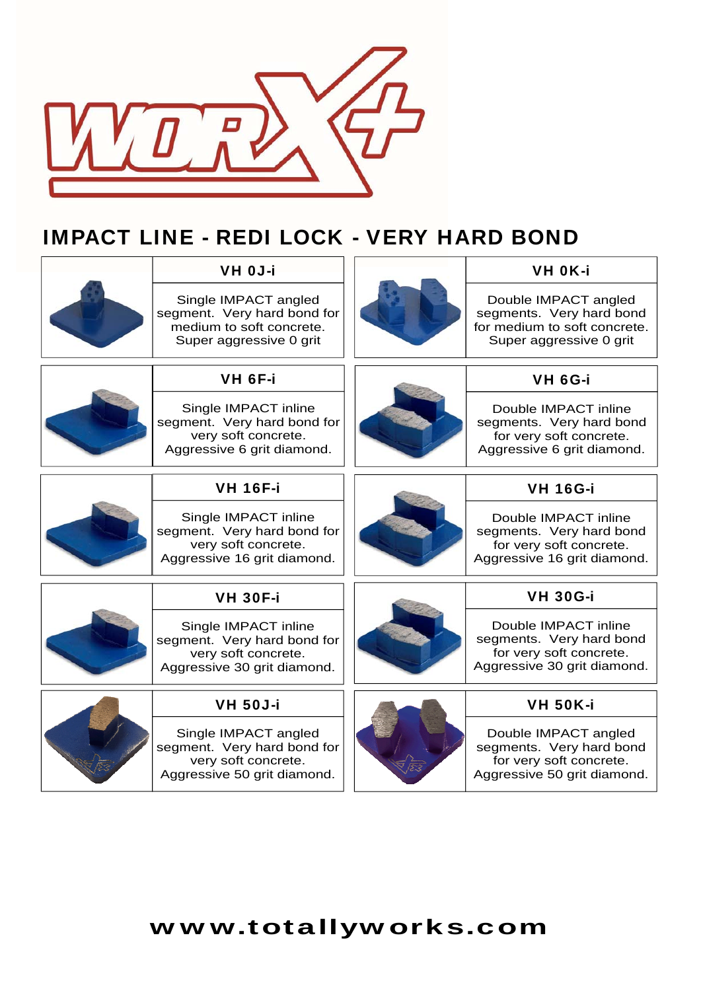

### IMPACT LINE - REDI LOCK - VERY HARD BOND

|  | <b>VH OJ-i</b>                                                                                             |  | <b>VH OK-i</b>                                                                                              |
|--|------------------------------------------------------------------------------------------------------------|--|-------------------------------------------------------------------------------------------------------------|
|  | Single IMPACT angled<br>segment. Very hard bond for<br>medium to soft concrete.<br>Super aggressive 0 grit |  | Double IMPACT angled<br>segments. Very hard bond<br>for medium to soft concrete.<br>Super aggressive 0 grit |
|  | VH 6F-i                                                                                                    |  | <b>VH 6G-i</b>                                                                                              |
|  | Single IMPACT inline<br>segment. Very hard bond for<br>very soft concrete.<br>Aggressive 6 grit diamond.   |  | Double IMPACT inline<br>segments. Very hard bond<br>for very soft concrete.<br>Aggressive 6 grit diamond.   |
|  | <b>VH 16F-i</b>                                                                                            |  | <b>VH 16G-i</b>                                                                                             |
|  | Single IMPACT inline<br>segment. Very hard bond for<br>very soft concrete.<br>Aggressive 16 grit diamond.  |  | Double IMPACT inline<br>segments. Very hard bond<br>for very soft concrete.<br>Aggressive 16 grit diamond.  |
|  | <b>VH 30F-i</b>                                                                                            |  | <b>VH 30G-i</b>                                                                                             |
|  | Single IMPACT inline<br>segment. Very hard bond for<br>very soft concrete.<br>Aggressive 30 grit diamond.  |  | Double IMPACT inline<br>segments. Very hard bond<br>for very soft concrete.<br>Aggressive 30 grit diamond.  |
|  | <b>VH 50J-i</b>                                                                                            |  | <b>VH 50K-i</b>                                                                                             |
|  | Single IMPACT angled<br>segment. Very hard bond for<br>very soft concrete.<br>Aggressive 50 grit diamond.  |  | Double IMPACT angled<br>segments. Very hard bond<br>for very soft concrete.<br>Aggressive 50 grit diamond.  |